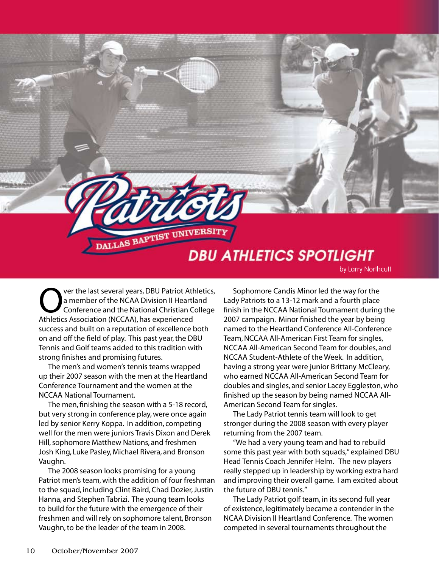

Over the last several years, DBU Patriot Athletics,<br>
a member of the NCAA Division II Heartland<br>
Conference and the National Christian College<br>
Athletics Association (NCCAA) has experienced a member of the NCAA Division II Heartland Conference and the National Christian College Athletics Association (NCCAA), has experienced success and built on a reputation of excellence both on and off the field of play. This past year, the DBU Tennis and Golf teams added to this tradition with strong finishes and promising futures.

The men's and women's tennis teams wrapped up their 2007 season with the men at the Heartland Conference Tournament and the women at the NCCAA National Tournament.

The men, finishing the season with a 5-18 record, but very strong in conference play, were once again led by senior Kerry Koppa. In addition, competing well for the men were juniors Travis Dixon and Derek Hill, sophomore Matthew Nations, and freshmen Josh King, Luke Pasley, Michael Rivera, and Bronson Vaughn.

The 2008 season looks promising for a young Patriot men's team, with the addition of four freshman to the squad, including Clint Baird, Chad Dozier, Justin Hanna, and Stephen Tabrizi. The young team looks to build for the future with the emergence of their freshmen and will rely on sophomore talent, Bronson Vaughn, to be the leader of the team in 2008.

Sophomore Candis Minor led the way for the Lady Patriots to a 13-12 mark and a fourth place finish in the NCCAA National Tournament during the 2007 campaign. Minor finished the year by being named to the Heartland Conference All-Conference Team, NCCAA All-American First Team for singles, NCCAA All-American Second Team for doubles, and NCCAA Student-Athlete of the Week. In addition, having a strong year were junior Brittany McCleary, who earned NCCAA All-American Second Team for doubles and singles, and senior Lacey Eggleston, who finished up the season by being named NCCAA All-American Second Team for singles.

The Lady Patriot tennis team will look to get stronger during the 2008 season with every player returning from the 2007 team.

"We had a very young team and had to rebuild some this past year with both squads," explained DBU Head Tennis Coach Jennifer Helm. The new players really stepped up in leadership by working extra hard and improving their overall game. I am excited about the future of DBU tennis."

The Lady Patriot golf team, in its second full year of existence, legitimately became a contender in the NCAA Division II Heartland Conference. The women competed in several tournaments throughout the